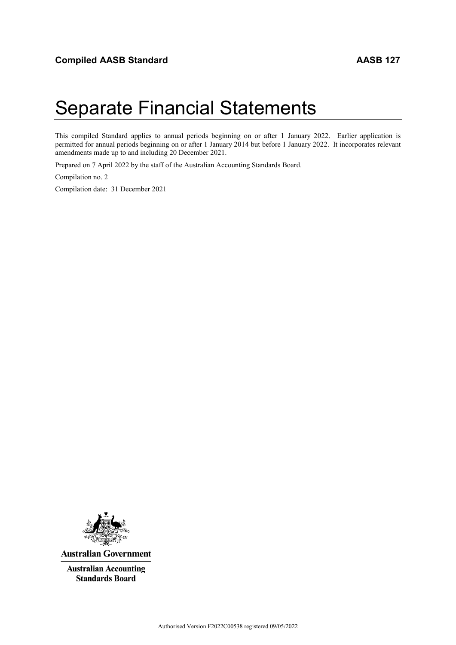# Separate Financial Statements

This compiled Standard applies to annual periods beginning on or after 1 January 2022. Earlier application is permitted for annual periods beginning on or after 1 January 2014 but before 1 January 2022. It incorporates relevant amendments made up to and including 20 December 2021.

Prepared on 7 April 2022 by the staff of the Australian Accounting Standards Board.

Compilation no. 2

Compilation date: 31 December 2021



**Australian Government** 

**Australian Accounting Standards Board**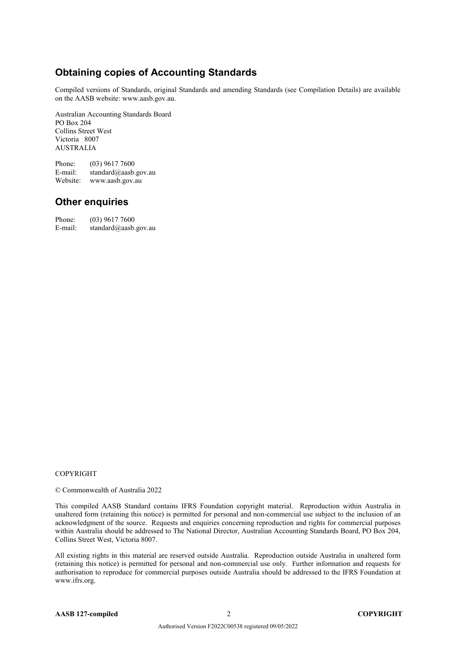## **Obtaining copies of Accounting Standards**

Compiled versions of Standards, original Standards and amending Standards (see Compilation Details) are available on the AASB website: www.aasb.gov.au.

Australian Accounting Standards Board PO Box 204 Collins Street West Victoria 8007 AUSTRALIA

Phone:  $(03)$  9617 7600<br>E-mail: standard@aasb. standard@aasb.gov.au Website: www.aasb.gov.au

#### **Other enquiries**

Phone: (03) 9617 7600 E-mail: standard@aasb.gov.au

#### **COPYRIGHT**

© Commonwealth of Australia 2022

This compiled AASB Standard contains IFRS Foundation copyright material. Reproduction within Australia in unaltered form (retaining this notice) is permitted for personal and non-commercial use subject to the inclusion of an acknowledgment of the source. Requests and enquiries concerning reproduction and rights for commercial purposes within Australia should be addressed to The National Director, Australian Accounting Standards Board, PO Box 204, Collins Street West, Victoria 8007.

All existing rights in this material are reserved outside Australia. Reproduction outside Australia in unaltered form (retaining this notice) is permitted for personal and non-commercial use only. Further information and requests for authorisation to reproduce for commercial purposes outside Australia should be addressed to the IFRS Foundation at www.ifrs.org.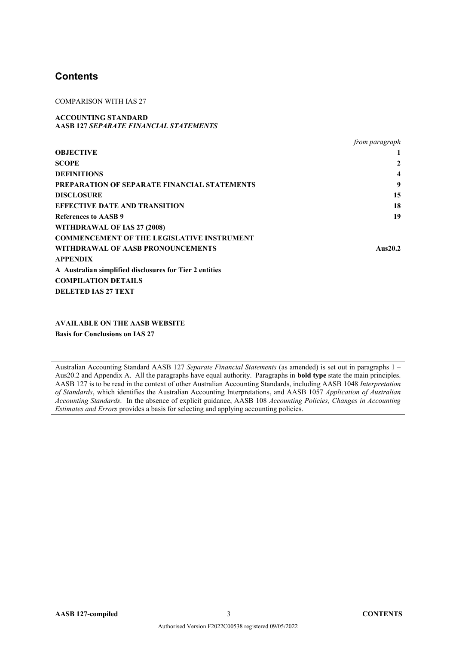#### **Contents**

COMPARISON WITH IAS 27

#### **ACCOUNTING STANDARD AASB 127** *SEPARATE FINANCIAL STATEMENTS*

|                                                         | <i>from paragraph</i> |
|---------------------------------------------------------|-----------------------|
| <b>OBJECTIVE</b>                                        |                       |
| <b>SCOPE</b>                                            | 2                     |
| <b>DEFINITIONS</b>                                      | $\boldsymbol{4}$      |
| <b>PREPARATION OF SEPARATE FINANCIAL STATEMENTS</b>     | 9                     |
| <b>DISCLOSURE</b>                                       | 15                    |
| <b>EFFECTIVE DATE AND TRANSITION</b>                    | 18                    |
| References to AASB 9                                    | 19                    |
| WITHDRAWAL OF IAS 27 (2008)                             |                       |
| <b>COMMENCEMENT OF THE LEGISLATIVE INSTRUMENT</b>       |                       |
| WITHDRAWAL OF AASB PRONOUNCEMENTS                       | Aus $20.2$            |
| <b>APPENDIX</b>                                         |                       |
| A Australian simplified disclosures for Tier 2 entities |                       |
| <b>COMPILATION DETAILS</b>                              |                       |
| <b>DELETED IAS 27 TEXT</b>                              |                       |

**AVAILABLE ON THE AASB WEBSITE Basis for Conclusions on IAS 27**

Australian Accounting Standard AASB 127 *Separate Financial Statements* (as amended) is set out in paragraphs 1 – Aus20.2 and Appendix A. All the paragraphs have equal authority. Paragraphs in **bold type** state the main principles. AASB 127 is to be read in the context of other Australian Accounting Standards, including AASB 1048 *Interpretation of Standards*, which identifies the Australian Accounting Interpretations, and AASB 1057 *Application of Australian Accounting Standards*. In the absence of explicit guidance, AASB 108 *Accounting Policies, Changes in Accounting Estimates and Errors* provides a basis for selecting and applying accounting policies.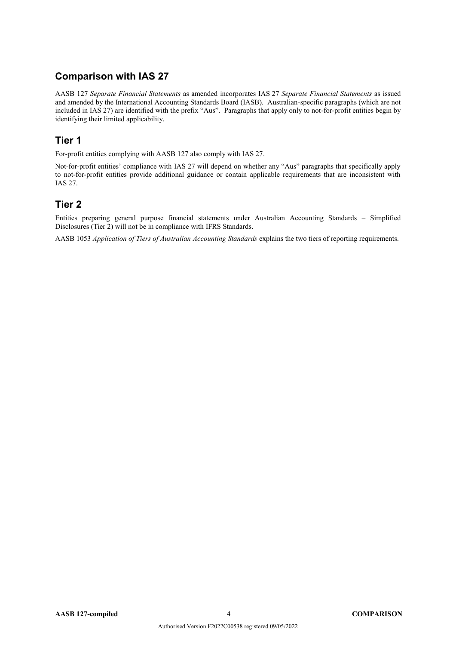## **Comparison with IAS 27**

AASB 127 *Separate Financial Statements* as amended incorporates IAS 27 *Separate Financial Statements* as issued and amended by the International Accounting Standards Board (IASB). Australian-specific paragraphs (which are not included in IAS 27) are identified with the prefix "Aus". Paragraphs that apply only to not-for-profit entities begin by identifying their limited applicability.

## **Tier 1**

For-profit entities complying with AASB 127 also comply with IAS 27.

Not-for-profit entities' compliance with IAS 27 will depend on whether any "Aus" paragraphs that specifically apply to not-for-profit entities provide additional guidance or contain applicable requirements that are inconsistent with IAS 27.

## **Tier 2**

Entities preparing general purpose financial statements under Australian Accounting Standards – Simplified Disclosures (Tier 2) will not be in compliance with IFRS Standards.

AASB 1053 *Application of Tiers of Australian Accounting Standards* explains the two tiers of reporting requirements.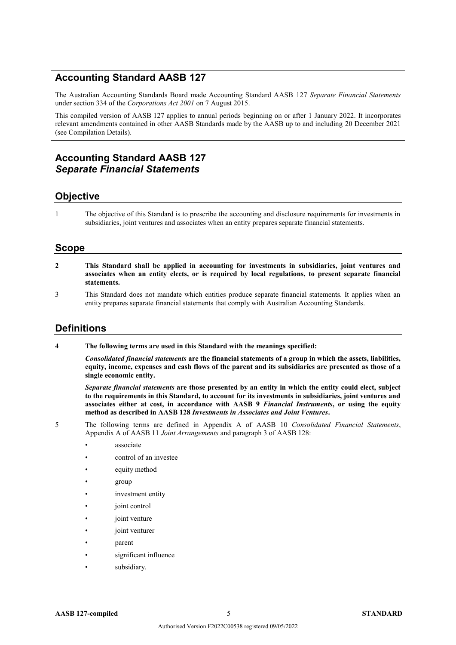## **Accounting Standard AASB 127**

The Australian Accounting Standards Board made Accounting Standard AASB 127 *Separate Financial Statements* under section 334 of the *Corporations Act 2001* on 7 August 2015.

This compiled version of AASB 127 applies to annual periods beginning on or after 1 January 2022. It incorporates relevant amendments contained in other AASB Standards made by the AASB up to and including 20 December 2021 (see Compilation Details).

## **Accounting Standard AASB 127** *Separate Financial Statements*

#### **Objective**

1 The objective of this Standard is to prescribe the accounting and disclosure requirements for investments in subsidiaries, joint ventures and associates when an entity prepares separate financial statements.

#### **Scope**

- **2 This Standard shall be applied in accounting for investments in subsidiaries, joint ventures and associates when an entity elects, or is required by local regulations, to present separate financial statements.**
- 3 This Standard does not mandate which entities produce separate financial statements. It applies when an entity prepares separate financial statements that comply with Australian Accounting Standards.

#### **Definitions**

**4 The following terms are used in this Standard with the meanings specified:**

*Consolidated financial statements* **are the financial statements of a group in which the assets, liabilities, equity, income, expenses and cash flows of the parent and its subsidiaries are presented as those of a single economic entity.**

*Separate financial statements* **are those presented by an entity in which the entity could elect, subject to the requirements in this Standard, to account for its investments in subsidiaries, joint ventures and associates either at cost, in accordance with AASB 9** *Financial Instruments***, or using the equity method as described in AASB 128** *Investments in Associates and Joint Ventures***.**

- 5 The following terms are defined in Appendix A of AASB 10 *Consolidated Financial Statements*, Appendix A of AASB 11 *Joint Arrangements* and paragraph 3 of AASB 128:
	- associate
	- control of an investee
	- equity method
	- group
	- investment entity
	- ioint control
	- joint venture
	- joint venturer
	- parent
	- significant influence
	- subsidiary.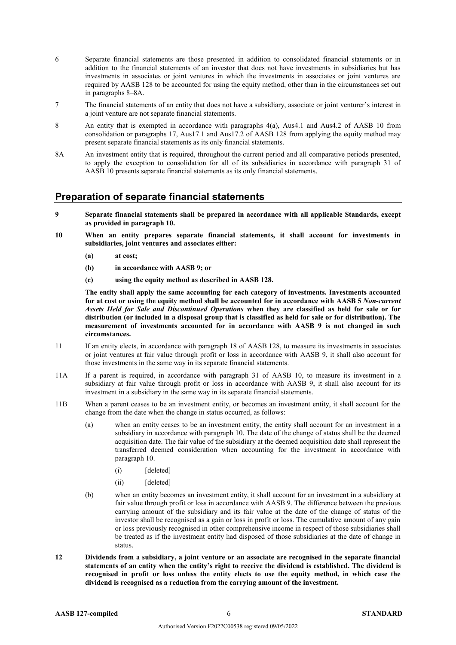- 6 Separate financial statements are those presented in addition to consolidated financial statements or in addition to the financial statements of an investor that does not have investments in subsidiaries but has investments in associates or joint ventures in which the investments in associates or joint ventures are required by AASB 128 to be accounted for using the equity method, other than in the circumstances set out in paragraphs 8–8A.
- 7 The financial statements of an entity that does not have a subsidiary, associate or joint venturer's interest in a joint venture are not separate financial statements.
- 8 An entity that is exempted in accordance with paragraphs 4(a), Aus4.1 and Aus4.2 of AASB 10 from consolidation or paragraphs 17, Aus17.1 and Aus17.2 of AASB 128 from applying the equity method may present separate financial statements as its only financial statements.
- 8A An investment entity that is required, throughout the current period and all comparative periods presented, to apply the exception to consolidation for all of its subsidiaries in accordance with paragraph 31 of AASB 10 presents separate financial statements as its only financial statements.

#### **Preparation of separate financial statements**

- **9 Separate financial statements shall be prepared in accordance with all applicable Standards, except as provided in paragraph 10.**
- **10 When an entity prepares separate financial statements, it shall account for investments in subsidiaries, joint ventures and associates either:**
	- **(a) at cost;**
	- **(b) in accordance with AASB 9; or**
	- **(c) using the equity method as described in AASB 128.**

**The entity shall apply the same accounting for each category of investments. Investments accounted for at cost or using the equity method shall be accounted for in accordance with AASB 5** *Non-current Assets Held for Sale and Discontinued Operations* **when they are classified as held for sale or for distribution (or included in a disposal group that is classified as held for sale or for distribution). The measurement of investments accounted for in accordance with AASB 9 is not changed in such circumstances.**

- 11 If an entity elects, in accordance with paragraph 18 of AASB 128, to measure its investments in associates or joint ventures at fair value through profit or loss in accordance with AASB 9, it shall also account for those investments in the same way in its separate financial statements.
- 11A If a parent is required, in accordance with paragraph 31 of AASB 10, to measure its investment in a subsidiary at fair value through profit or loss in accordance with AASB 9, it shall also account for its investment in a subsidiary in the same way in its separate financial statements.
- 11B When a parent ceases to be an investment entity, or becomes an investment entity, it shall account for the change from the date when the change in status occurred, as follows:
	- (a) when an entity ceases to be an investment entity, the entity shall account for an investment in a subsidiary in accordance with paragraph 10. The date of the change of status shall be the deemed acquisition date. The fair value of the subsidiary at the deemed acquisition date shall represent the transferred deemed consideration when accounting for the investment in accordance with paragraph 10.
		- (i) [deleted]
		- (ii) [deleted]
	- (b) when an entity becomes an investment entity, it shall account for an investment in a subsidiary at fair value through profit or loss in accordance with AASB 9. The difference between the previous carrying amount of the subsidiary and its fair value at the date of the change of status of the investor shall be recognised as a gain or loss in profit or loss. The cumulative amount of any gain or loss previously recognised in other comprehensive income in respect of those subsidiaries shall be treated as if the investment entity had disposed of those subsidiaries at the date of change in status.
- **12 Dividends from a subsidiary, a joint venture or an associate are recognised in the separate financial statements of an entity when the entity's right to receive the dividend is established. The dividend is recognised in profit or loss unless the entity elects to use the equity method, in which case the dividend is recognised as a reduction from the carrying amount of the investment.**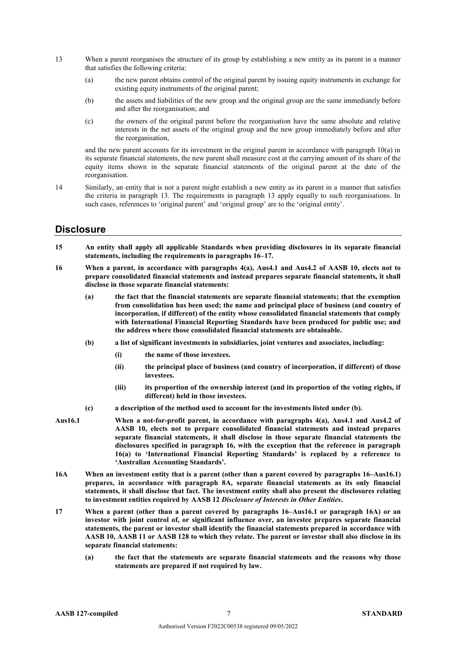- 13 When a parent reorganises the structure of its group by establishing a new entity as its parent in a manner that satisfies the following criteria:
	- (a) the new parent obtains control of the original parent by issuing equity instruments in exchange for existing equity instruments of the original parent;
	- (b) the assets and liabilities of the new group and the original group are the same immediately before and after the reorganisation; and
	- (c) the owners of the original parent before the reorganisation have the same absolute and relative interests in the net assets of the original group and the new group immediately before and after the reorganisation,

and the new parent accounts for its investment in the original parent in accordance with paragraph 10(a) in its separate financial statements, the new parent shall measure cost at the carrying amount of its share of the equity items shown in the separate financial statements of the original parent at the date of the reorganisation.

14 Similarly, an entity that is not a parent might establish a new entity as its parent in a manner that satisfies the criteria in paragraph 13. The requirements in paragraph 13 apply equally to such reorganisations. In such cases, references to 'original parent' and 'original group' are to the 'original entity'.

#### **Disclosure**

- **15 An entity shall apply all applicable Standards when providing disclosures in its separate financial statements, including the requirements in paragraphs 16–17.**
- **16 When a parent, in accordance with paragraphs 4(a), Aus4.1 and Aus4.2 of AASB 10, elects not to prepare consolidated financial statements and instead prepares separate financial statements, it shall disclose in those separate financial statements:**
	- **(a) the fact that the financial statements are separate financial statements; that the exemption from consolidation has been used; the name and principal place of business (and country of incorporation, if different) of the entity whose consolidated financial statements that comply with International Financial Reporting Standards have been produced for public use; and the address where those consolidated financial statements are obtainable.**
	- **(b) a list of significant investments in subsidiaries, joint ventures and associates, including:**
		- **(i) the name of those investees.**
		- **(ii) the principal place of business (and country of incorporation, if different) of those investees.**
		- **(iii) its proportion of the ownership interest (and its proportion of the voting rights, if different) held in those investees.**
	- **(c) a description of the method used to account for the investments listed under (b).**
- **Aus16.1 When a not-for-profit parent, in accordance with paragraphs 4(a), Aus4.1 and Aus4.2 of AASB 10, elects not to prepare consolidated financial statements and instead prepares separate financial statements, it shall disclose in those separate financial statements the disclosures specified in paragraph 16, with the exception that the reference in paragraph 16(a) to 'International Financial Reporting Standards' is replaced by a reference to 'Australian Accounting Standards'.**
- **16A When an investment entity that is a parent (other than a parent covered by paragraphs 16–Aus16.1) prepares, in accordance with paragraph 8A, separate financial statements as its only financial statements, it shall disclose that fact. The investment entity shall also present the disclosures relating to investment entities required by AASB 12** *Disclosure of Interests in Other Entities***.**
- **17 When a parent (other than a parent covered by paragraphs 16–Aus16.1 or paragraph 16A) or an investor with joint control of, or significant influence over, an investee prepares separate financial statements, the parent or investor shall identify the financial statements prepared in accordance with AASB 10, AASB 11 or AASB 128 to which they relate. The parent or investor shall also disclose in its separate financial statements:**
	- **(a) the fact that the statements are separate financial statements and the reasons why those statements are prepared if not required by law.**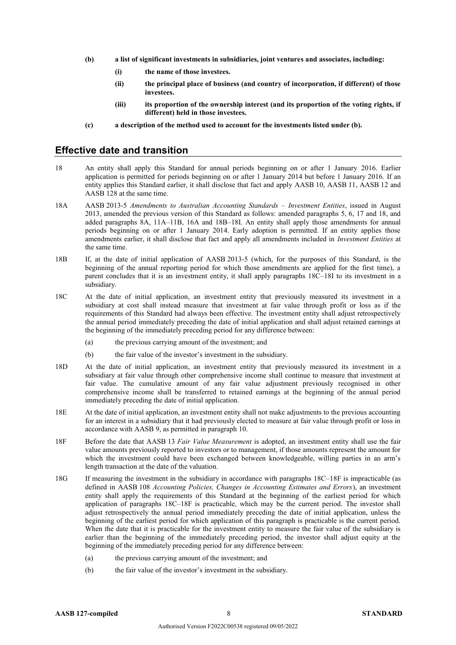- **(b) a list of significant investments in subsidiaries, joint ventures and associates, including:**
	- **(i) the name of those investees.**
	- **(ii) the principal place of business (and country of incorporation, if different) of those investees.**
	- **(iii) its proportion of the ownership interest (and its proportion of the voting rights, if different) held in those investees.**
- **(c) a description of the method used to account for the investments listed under (b).**

#### **Effective date and transition**

- 18 An entity shall apply this Standard for annual periods beginning on or after 1 January 2016. Earlier application is permitted for periods beginning on or after 1 January 2014 but before 1 January 2016. If an entity applies this Standard earlier, it shall disclose that fact and apply AASB 10, AASB 11, AASB 12 and AASB 128 at the same time.
- 18A AASB 2013-5 *Amendments to Australian Accounting Standards – Investment Entities*, issued in August 2013, amended the previous version of this Standard as follows: amended paragraphs 5, 6, 17 and 18, and added paragraphs 8A, 11A–11B, 16A and 18B–18I. An entity shall apply those amendments for annual periods beginning on or after 1 January 2014. Early adoption is permitted. If an entity applies those amendments earlier, it shall disclose that fact and apply all amendments included in *Investment Entities* at the same time.
- 18B If, at the date of initial application of AASB 2013-5 (which, for the purposes of this Standard, is the beginning of the annual reporting period for which those amendments are applied for the first time), a parent concludes that it is an investment entity, it shall apply paragraphs 18C–18I to its investment in a subsidiary.
- 18C At the date of initial application, an investment entity that previously measured its investment in a subsidiary at cost shall instead measure that investment at fair value through profit or loss as if the requirements of this Standard had always been effective. The investment entity shall adjust retrospectively the annual period immediately preceding the date of initial application and shall adjust retained earnings at the beginning of the immediately preceding period for any difference between:
	- (a) the previous carrying amount of the investment; and
	- (b) the fair value of the investor's investment in the subsidiary.
- 18D At the date of initial application, an investment entity that previously measured its investment in a subsidiary at fair value through other comprehensive income shall continue to measure that investment at fair value. The cumulative amount of any fair value adjustment previously recognised in other comprehensive income shall be transferred to retained earnings at the beginning of the annual period immediately preceding the date of initial application.
- 18E At the date of initial application, an investment entity shall not make adjustments to the previous accounting for an interest in a subsidiary that it had previously elected to measure at fair value through profit or loss in accordance with AASB 9, as permitted in paragraph 10.
- 18F Before the date that AASB 13 *Fair Value Measurement* is adopted, an investment entity shall use the fair value amounts previously reported to investors or to management, if those amounts represent the amount for which the investment could have been exchanged between knowledgeable, willing parties in an arm's length transaction at the date of the valuation.
- 18G If measuring the investment in the subsidiary in accordance with paragraphs 18C–18F is impracticable (as defined in AASB 108 *Accounting Policies, Changes in Accounting Estimates and Errors*), an investment entity shall apply the requirements of this Standard at the beginning of the earliest period for which application of paragraphs 18C–18F is practicable, which may be the current period. The investor shall adjust retrospectively the annual period immediately preceding the date of initial application, unless the beginning of the earliest period for which application of this paragraph is practicable is the current period. When the date that it is practicable for the investment entity to measure the fair value of the subsidiary is earlier than the beginning of the immediately preceding period, the investor shall adjust equity at the beginning of the immediately preceding period for any difference between:
	- (a) the previous carrying amount of the investment; and
	- (b) the fair value of the investor's investment in the subsidiary.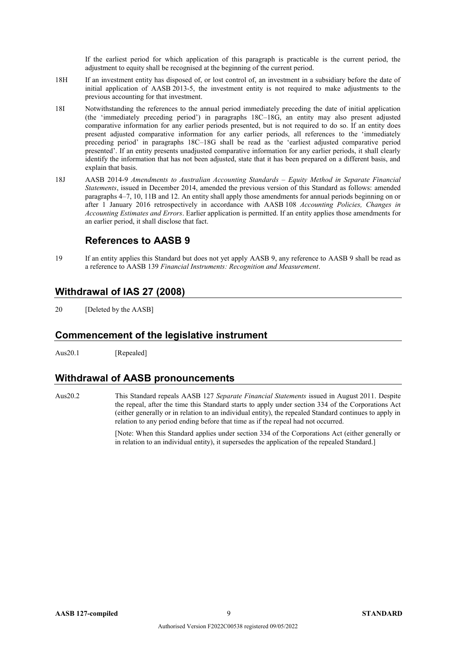If the earliest period for which application of this paragraph is practicable is the current period, the adjustment to equity shall be recognised at the beginning of the current period.

- 18H If an investment entity has disposed of, or lost control of, an investment in a subsidiary before the date of initial application of AASB 2013-5, the investment entity is not required to make adjustments to the previous accounting for that investment.
- 18I Notwithstanding the references to the annual period immediately preceding the date of initial application (the 'immediately preceding period') in paragraphs 18C–18G, an entity may also present adjusted comparative information for any earlier periods presented, but is not required to do so. If an entity does present adjusted comparative information for any earlier periods, all references to the 'immediately preceding period' in paragraphs 18C–18G shall be read as the 'earliest adjusted comparative period presented'. If an entity presents unadjusted comparative information for any earlier periods, it shall clearly identify the information that has not been adjusted, state that it has been prepared on a different basis, and explain that basis.
- 18J AASB 2014-9 *Amendments to Australian Accounting Standards – Equity Method in Separate Financial Statements*, issued in December 2014, amended the previous version of this Standard as follows: amended paragraphs 4–7, 10, 11B and 12. An entity shall apply those amendments for annual periods beginning on or after 1 January 2016 retrospectively in accordance with AASB 108 *Accounting Policies, Changes in Accounting Estimates and Errors*. Earlier application is permitted. If an entity applies those amendments for an earlier period, it shall disclose that fact.

## **References to AASB 9**

19 If an entity applies this Standard but does not yet apply AASB 9, any reference to AASB 9 shall be read as a reference to AASB 139 *Financial Instruments: Recognition and Measurement*.

## **Withdrawal of IAS 27 (2008)**

20 [Deleted by the AASB]

#### **Commencement of the legislative instrument**

Aus20.1 [Repealed]

## **Withdrawal of AASB pronouncements**

Aus20.2 This Standard repeals AASB 127 *Separate Financial Statements* issued in August 2011. Despite the repeal, after the time this Standard starts to apply under section 334 of the Corporations Act (either generally or in relation to an individual entity), the repealed Standard continues to apply in relation to any period ending before that time as if the repeal had not occurred.

> [Note: When this Standard applies under section 334 of the Corporations Act (either generally or in relation to an individual entity), it supersedes the application of the repealed Standard.]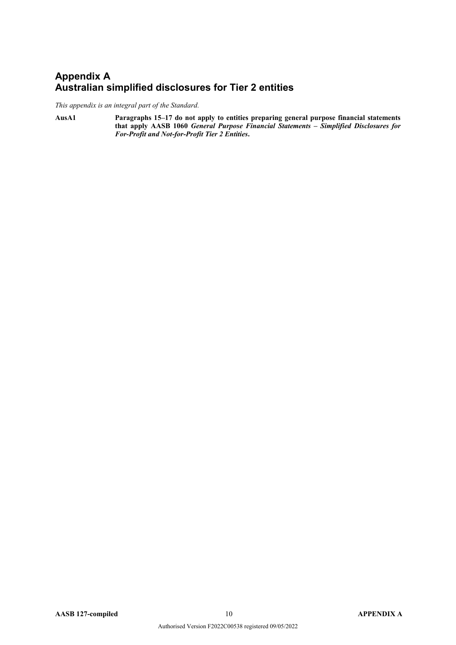## **Appendix A Australian simplified disclosures for Tier 2 entities**

*This appendix is an integral part of the Standard.*

**AusA1 Paragraphs 15–17 do not apply to entities preparing general purpose financial statements that apply AASB 1060** *General Purpose Financial Statements – Simplified Disclosures for For-Profit and Not-for-Profit Tier 2 Entities***.**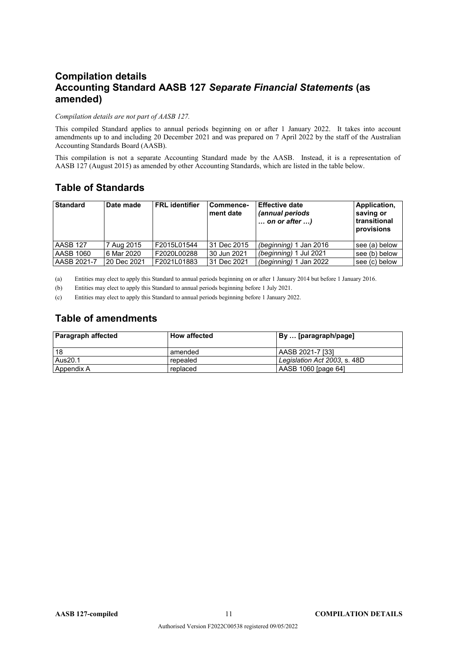# **Compilation details Accounting Standard AASB 127** *Separate Financial Statements* **(as amended)**

#### *Compilation details are not part of AASB 127.*

This compiled Standard applies to annual periods beginning on or after 1 January 2022. It takes into account amendments up to and including 20 December 2021 and was prepared on 7 April 2022 by the staff of the Australian Accounting Standards Board (AASB).

This compilation is not a separate Accounting Standard made by the AASB. Instead, it is a representation of AASB 127 (August 2015) as amended by other Accounting Standards, which are listed in the table below.

## **Table of Standards**

| <b>Standard</b> | Date made   | <b>FRL</b> identifier | Commence-<br>ment date | <b>Effective date</b><br>(annual periods<br>$\ldots$ on or after $\ldots$ ) | Application,<br>saving or<br>transitional<br>provisions |
|-----------------|-------------|-----------------------|------------------------|-----------------------------------------------------------------------------|---------------------------------------------------------|
| AASB 127        | 7 Aug 2015  | F2015L01544           | l 31 Dec 2015          | (beginning) 1 Jan 2016                                                      | see (a) below                                           |
| AASB 1060       | 6 Mar 2020  | F2020L00288           | 30 Jun 2021            | (beginning) 1 Jul 2021                                                      | see (b) below                                           |
| AASB 2021-7     | 20 Dec 2021 | F2021L01883           | 31 Dec 2021            | (beginning) 1 Jan 2022                                                      | see (c) below                                           |

(a) Entities may elect to apply this Standard to annual periods beginning on or after 1 January 2014 but before 1 January 2016.

(b) Entities may elect to apply this Standard to annual periods beginning before 1 July 2021.

(c) Entities may elect to apply this Standard to annual periods beginning before 1 January 2022.

## **Table of amendments**

| <b>Paragraph affected</b> | <b>How affected</b> | By  [paragraph/page]         |
|---------------------------|---------------------|------------------------------|
| 18                        | amended             | AASB 2021-7 [33]             |
| Aus20.1                   | repealed            | Legislation Act 2003, s. 48D |
| Appendix A                | replaced            | AASB 1060 [page 64]          |